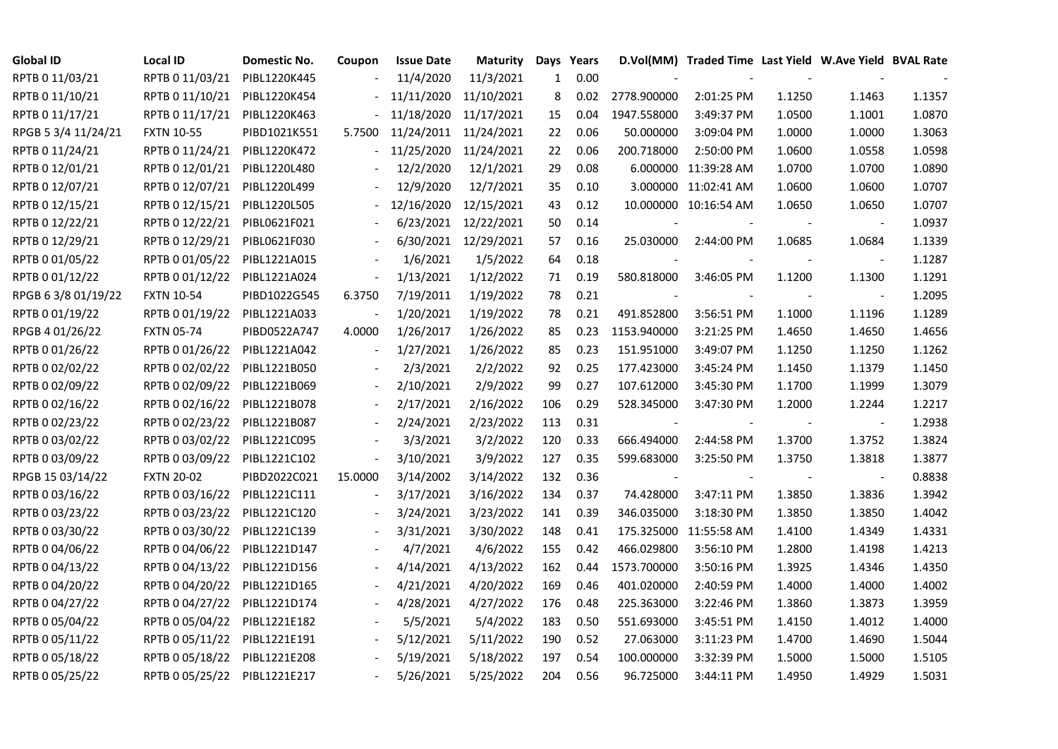| <b>Global ID</b>    | Local ID                     | Domestic No. | Coupon         | <b>Issue Date</b> | <b>Maturity</b>       |              | Days Years |             | D.Vol(MM) Traded Time Last Yield W.Ave Yield BVAL Rate |        |                          |        |
|---------------------|------------------------------|--------------|----------------|-------------------|-----------------------|--------------|------------|-------------|--------------------------------------------------------|--------|--------------------------|--------|
| RPTB 0 11/03/21     | RPTB 0 11/03/21              | PIBL1220K445 |                | 11/4/2020         | 11/3/2021             | $\mathbf{1}$ | 0.00       |             |                                                        |        |                          |        |
| RPTB 0 11/10/21     | RPTB 0 11/10/21              | PIBL1220K454 |                | 11/11/2020        | 11/10/2021            | 8            | 0.02       | 2778.900000 | 2:01:25 PM                                             | 1.1250 | 1.1463                   | 1.1357 |
| RPTB 0 11/17/21     | RPTB 0 11/17/21              | PIBL1220K463 |                | 11/18/2020        | 11/17/2021            | 15           | 0.04       | 1947.558000 | 3:49:37 PM                                             | 1.0500 | 1.1001                   | 1.0870 |
| RPGB 5 3/4 11/24/21 | <b>FXTN 10-55</b>            | PIBD1021K551 | 5.7500         |                   | 11/24/2011 11/24/2021 | 22           | 0.06       | 50.000000   | 3:09:04 PM                                             | 1.0000 | 1.0000                   | 1.3063 |
| RPTB 0 11/24/21     | RPTB 0 11/24/21              | PIBL1220K472 |                | 11/25/2020        | 11/24/2021            | 22           | 0.06       | 200.718000  | 2:50:00 PM                                             | 1.0600 | 1.0558                   | 1.0598 |
| RPTB 0 12/01/21     | RPTB 0 12/01/21              | PIBL1220L480 |                | 12/2/2020         | 12/1/2021             | 29           | 0.08       |             | 6.000000 11:39:28 AM                                   | 1.0700 | 1.0700                   | 1.0890 |
| RPTB 0 12/07/21     | RPTB 0 12/07/21              | PIBL1220L499 |                | 12/9/2020         | 12/7/2021             | 35           | 0.10       |             | 3.000000 11:02:41 AM                                   | 1.0600 | 1.0600                   | 1.0707 |
| RPTB 0 12/15/21     | RPTB 0 12/15/21              | PIBL1220L505 |                | 12/16/2020        | 12/15/2021            | 43           | 0.12       |             | 10.000000 10:16:54 AM                                  | 1.0650 | 1.0650                   | 1.0707 |
| RPTB 0 12/22/21     | RPTB 0 12/22/21              | PIBL0621F021 |                | 6/23/2021         | 12/22/2021            | 50           | 0.14       |             |                                                        |        |                          | 1.0937 |
| RPTB 0 12/29/21     | RPTB 0 12/29/21              | PIBL0621F030 |                | 6/30/2021         | 12/29/2021            | 57           | 0.16       | 25.030000   | 2:44:00 PM                                             | 1.0685 | 1.0684                   | 1.1339 |
| RPTB 0 01/05/22     | RPTB 0 01/05/22              | PIBL1221A015 |                | 1/6/2021          | 1/5/2022              | 64           | 0.18       |             |                                                        |        | $\blacksquare$           | 1.1287 |
| RPTB 0 01/12/22     | RPTB 0 01/12/22              | PIBL1221A024 | $\Box$         | 1/13/2021         | 1/12/2022             | 71           | 0.19       | 580.818000  | 3:46:05 PM                                             | 1.1200 | 1.1300                   | 1.1291 |
| RPGB 63/8 01/19/22  | <b>FXTN 10-54</b>            | PIBD1022G545 | 6.3750         | 7/19/2011         | 1/19/2022             | 78           | 0.21       |             |                                                        |        | $\blacksquare$           | 1.2095 |
| RPTB 0 01/19/22     | RPTB 0 01/19/22              | PIBL1221A033 |                | 1/20/2021         | 1/19/2022             | 78           | 0.21       | 491.852800  | 3:56:51 PM                                             | 1.1000 | 1.1196                   | 1.1289 |
| RPGB 4 01/26/22     | <b>FXTN 05-74</b>            | PIBD0522A747 | 4.0000         | 1/26/2017         | 1/26/2022             | 85           | 0.23       | 1153.940000 | 3:21:25 PM                                             | 1.4650 | 1.4650                   | 1.4656 |
| RPTB 0 01/26/22     | RPTB 0 01/26/22              | PIBL1221A042 |                | 1/27/2021         | 1/26/2022             | 85           | 0.23       | 151.951000  | 3:49:07 PM                                             | 1.1250 | 1.1250                   | 1.1262 |
| RPTB 0 02/02/22     | RPTB 0 02/02/22              | PIBL1221B050 |                | 2/3/2021          | 2/2/2022              | 92           | 0.25       | 177.423000  | 3:45:24 PM                                             | 1.1450 | 1.1379                   | 1.1450 |
| RPTB 0 02/09/22     | RPTB 0 02/09/22              | PIBL1221B069 |                | 2/10/2021         | 2/9/2022              | 99           | 0.27       | 107.612000  | 3:45:30 PM                                             | 1.1700 | 1.1999                   | 1.3079 |
| RPTB 0 02/16/22     | RPTB 0 02/16/22              | PIBL1221B078 |                | 2/17/2021         | 2/16/2022             | 106          | 0.29       | 528.345000  | 3:47:30 PM                                             | 1.2000 | 1.2244                   | 1.2217 |
| RPTB 0 02/23/22     | RPTB 0 02/23/22              | PIBL1221B087 |                | 2/24/2021         | 2/23/2022             | 113          | 0.31       |             |                                                        |        | $\overline{\phantom{a}}$ | 1.2938 |
| RPTB 0 03/02/22     | RPTB 0 03/02/22              | PIBL1221C095 |                | 3/3/2021          | 3/2/2022              | 120          | 0.33       | 666.494000  | 2:44:58 PM                                             | 1.3700 | 1.3752                   | 1.3824 |
| RPTB 0 03/09/22     | RPTB 0 03/09/22              | PIBL1221C102 | $\blacksquare$ | 3/10/2021         | 3/9/2022              | 127          | 0.35       | 599.683000  | 3:25:50 PM                                             | 1.3750 | 1.3818                   | 1.3877 |
| RPGB 15 03/14/22    | <b>FXTN 20-02</b>            | PIBD2022C021 | 15.0000        | 3/14/2002         | 3/14/2022             | 132          | 0.36       |             |                                                        |        |                          | 0.8838 |
| RPTB 0 03/16/22     | RPTB 0 03/16/22              | PIBL1221C111 |                | 3/17/2021         | 3/16/2022             | 134          | 0.37       | 74.428000   | 3:47:11 PM                                             | 1.3850 | 1.3836                   | 1.3942 |
| RPTB 0 03/23/22     | RPTB 0 03/23/22              | PIBL1221C120 |                | 3/24/2021         | 3/23/2022             | 141          | 0.39       | 346.035000  | 3:18:30 PM                                             | 1.3850 | 1.3850                   | 1.4042 |
| RPTB 0 03/30/22     | RPTB 0 03/30/22              | PIBL1221C139 |                | 3/31/2021         | 3/30/2022             | 148          | 0.41       | 175.325000  | 11:55:58 AM                                            | 1.4100 | 1.4349                   | 1.4331 |
| RPTB 0 04/06/22     | RPTB 0 04/06/22              | PIBL1221D147 |                | 4/7/2021          | 4/6/2022              | 155          | 0.42       | 466.029800  | 3:56:10 PM                                             | 1.2800 | 1.4198                   | 1.4213 |
| RPTB 0 04/13/22     | RPTB 0 04/13/22              | PIBL1221D156 |                | 4/14/2021         | 4/13/2022             | 162          | 0.44       | 1573.700000 | 3:50:16 PM                                             | 1.3925 | 1.4346                   | 1.4350 |
| RPTB 0 04/20/22     | RPTB 0 04/20/22              | PIBL1221D165 |                | 4/21/2021         | 4/20/2022             | 169          | 0.46       | 401.020000  | 2:40:59 PM                                             | 1.4000 | 1.4000                   | 1.4002 |
| RPTB 0 04/27/22     | RPTB 0 04/27/22              | PIBL1221D174 |                | 4/28/2021         | 4/27/2022             | 176          | 0.48       | 225.363000  | 3:22:46 PM                                             | 1.3860 | 1.3873                   | 1.3959 |
| RPTB 0 05/04/22     | RPTB 0 05/04/22              | PIBL1221E182 |                | 5/5/2021          | 5/4/2022              | 183          | 0.50       | 551.693000  | 3:45:51 PM                                             | 1.4150 | 1.4012                   | 1.4000 |
| RPTB 0 05/11/22     | RPTB 0 05/11/22              | PIBL1221E191 |                | 5/12/2021         | 5/11/2022             | 190          | 0.52       | 27.063000   | 3:11:23 PM                                             | 1.4700 | 1.4690                   | 1.5044 |
| RPTB 0 05/18/22     | RPTB 0 05/18/22              | PIBL1221E208 |                | 5/19/2021         | 5/18/2022             | 197          | 0.54       | 100.000000  | 3:32:39 PM                                             | 1.5000 | 1.5000                   | 1.5105 |
| RPTB 0 05/25/22     | RPTB 0 05/25/22 PIBL1221E217 |              |                | 5/26/2021         | 5/25/2022             | 204          | 0.56       | 96.725000   | 3:44:11 PM                                             | 1.4950 | 1.4929                   | 1.5031 |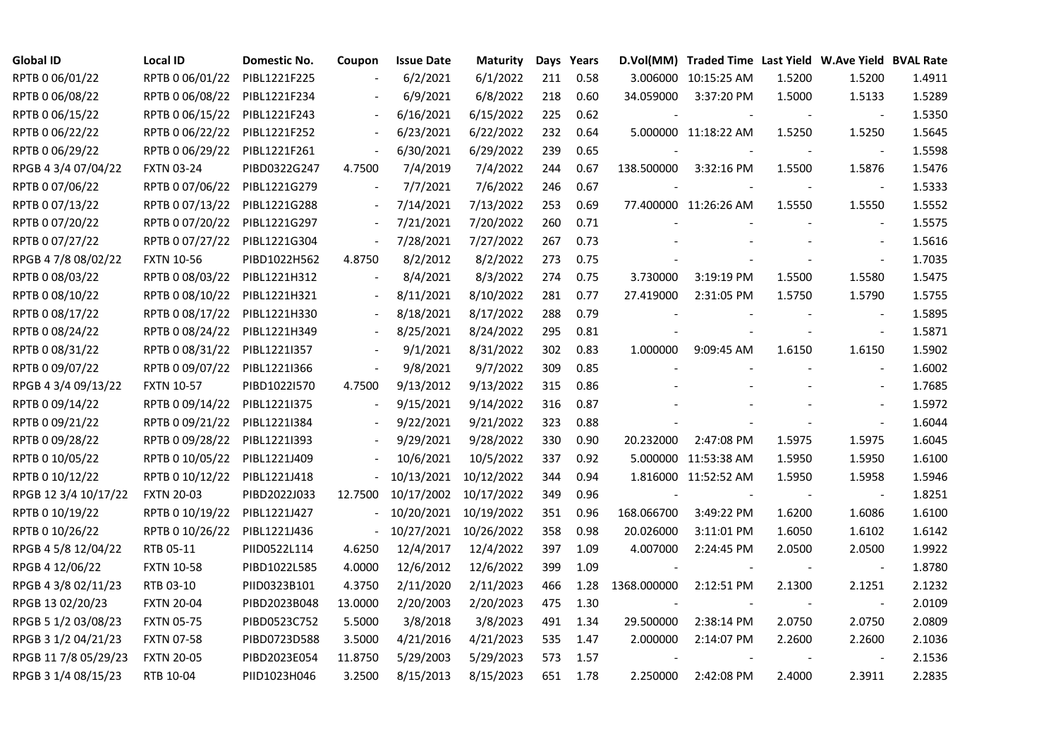| <b>Global ID</b>     | Local ID          | Domestic No. | Coupon                   | <b>Issue Date</b> | <b>Maturity</b> |     | Days Years |                          | D.Vol(MM) Traded Time Last Yield W.Ave Yield BVAL Rate |        |                          |        |
|----------------------|-------------------|--------------|--------------------------|-------------------|-----------------|-----|------------|--------------------------|--------------------------------------------------------|--------|--------------------------|--------|
| RPTB 0 06/01/22      | RPTB 0 06/01/22   | PIBL1221F225 |                          | 6/2/2021          | 6/1/2022        | 211 | 0.58       |                          | 3.006000 10:15:25 AM                                   | 1.5200 | 1.5200                   | 1.4911 |
| RPTB 0 06/08/22      | RPTB 0 06/08/22   | PIBL1221F234 |                          | 6/9/2021          | 6/8/2022        | 218 | 0.60       | 34.059000                | 3:37:20 PM                                             | 1.5000 | 1.5133                   | 1.5289 |
| RPTB 0 06/15/22      | RPTB 0 06/15/22   | PIBL1221F243 | $\blacksquare$           | 6/16/2021         | 6/15/2022       | 225 | 0.62       |                          |                                                        |        |                          | 1.5350 |
| RPTB 0 06/22/22      | RPTB 0 06/22/22   | PIBL1221F252 | $\blacksquare$           | 6/23/2021         | 6/22/2022       | 232 | 0.64       |                          | 5.000000 11:18:22 AM                                   | 1.5250 | 1.5250                   | 1.5645 |
| RPTB 0 06/29/22      | RPTB 0 06/29/22   | PIBL1221F261 | $\blacksquare$           | 6/30/2021         | 6/29/2022       | 239 | 0.65       |                          |                                                        |        |                          | 1.5598 |
| RPGB 4 3/4 07/04/22  | <b>FXTN 03-24</b> | PIBD0322G247 | 4.7500                   | 7/4/2019          | 7/4/2022        | 244 | 0.67       | 138.500000               | 3:32:16 PM                                             | 1.5500 | 1.5876                   | 1.5476 |
| RPTB 0 07/06/22      | RPTB 0 07/06/22   | PIBL1221G279 | $\overline{\phantom{a}}$ | 7/7/2021          | 7/6/2022        | 246 | 0.67       |                          |                                                        |        | $\overline{\phantom{a}}$ | 1.5333 |
| RPTB 0 07/13/22      | RPTB 0 07/13/22   | PIBL1221G288 | $\frac{1}{2}$            | 7/14/2021         | 7/13/2022       | 253 | 0.69       |                          | 77.400000 11:26:26 AM                                  | 1.5550 | 1.5550                   | 1.5552 |
| RPTB 0 07/20/22      | RPTB 0 07/20/22   | PIBL1221G297 |                          | 7/21/2021         | 7/20/2022       | 260 | 0.71       |                          |                                                        |        |                          | 1.5575 |
| RPTB 0 07/27/22      | RPTB 0 07/27/22   | PIBL1221G304 | $\blacksquare$           | 7/28/2021         | 7/27/2022       | 267 | 0.73       |                          |                                                        |        | $\overline{\phantom{a}}$ | 1.5616 |
| RPGB 4 7/8 08/02/22  | <b>FXTN 10-56</b> | PIBD1022H562 | 4.8750                   | 8/2/2012          | 8/2/2022        | 273 | 0.75       |                          |                                                        |        | $\overline{\phantom{a}}$ | 1.7035 |
| RPTB 0 08/03/22      | RPTB 0 08/03/22   | PIBL1221H312 | $\frac{1}{2}$            | 8/4/2021          | 8/3/2022        | 274 | 0.75       | 3.730000                 | 3:19:19 PM                                             | 1.5500 | 1.5580                   | 1.5475 |
| RPTB 0 08/10/22      | RPTB 0 08/10/22   | PIBL1221H321 |                          | 8/11/2021         | 8/10/2022       | 281 | 0.77       | 27.419000                | 2:31:05 PM                                             | 1.5750 | 1.5790                   | 1.5755 |
| RPTB 0 08/17/22      | RPTB 0 08/17/22   | PIBL1221H330 | $\overline{\phantom{a}}$ | 8/18/2021         | 8/17/2022       | 288 | 0.79       | $\blacksquare$           |                                                        |        | $\overline{\phantom{a}}$ | 1.5895 |
| RPTB 0 08/24/22      | RPTB 0 08/24/22   | PIBL1221H349 |                          | 8/25/2021         | 8/24/2022       | 295 | 0.81       |                          |                                                        |        | $\sim$                   | 1.5871 |
| RPTB 0 08/31/22      | RPTB 0 08/31/22   | PIBL1221I357 |                          | 9/1/2021          | 8/31/2022       | 302 | 0.83       | 1.000000                 | 9:09:45 AM                                             | 1.6150 | 1.6150                   | 1.5902 |
| RPTB 0 09/07/22      | RPTB 0 09/07/22   | PIBL1221I366 | $\overline{\phantom{a}}$ | 9/8/2021          | 9/7/2022        | 309 | 0.85       |                          |                                                        |        |                          | 1.6002 |
| RPGB 4 3/4 09/13/22  | <b>FXTN 10-57</b> | PIBD1022I570 | 4.7500                   | 9/13/2012         | 9/13/2022       | 315 | 0.86       |                          |                                                        |        | $\overline{\phantom{a}}$ | 1.7685 |
| RPTB 0 09/14/22      | RPTB 0 09/14/22   | PIBL1221I375 | $\Box$                   | 9/15/2021         | 9/14/2022       | 316 | 0.87       |                          |                                                        |        |                          | 1.5972 |
| RPTB 0 09/21/22      | RPTB 0 09/21/22   | PIBL1221I384 |                          | 9/22/2021         | 9/21/2022       | 323 | 0.88       |                          |                                                        |        | $\blacksquare$           | 1.6044 |
| RPTB 0 09/28/22      | RPTB 0 09/28/22   | PIBL1221I393 |                          | 9/29/2021         | 9/28/2022       | 330 | 0.90       | 20.232000                | 2:47:08 PM                                             | 1.5975 | 1.5975                   | 1.6045 |
| RPTB 0 10/05/22      | RPTB 0 10/05/22   | PIBL1221J409 |                          | 10/6/2021         | 10/5/2022       | 337 | 0.92       |                          | 5.000000 11:53:38 AM                                   | 1.5950 | 1.5950                   | 1.6100 |
| RPTB 0 10/12/22      | RPTB 0 10/12/22   | PIBL1221J418 |                          | 10/13/2021        | 10/12/2022      | 344 | 0.94       |                          | 1.816000 11:52:52 AM                                   | 1.5950 | 1.5958                   | 1.5946 |
| RPGB 12 3/4 10/17/22 | <b>FXTN 20-03</b> | PIBD2022J033 | 12.7500                  | 10/17/2002        | 10/17/2022      | 349 | 0.96       |                          |                                                        |        |                          | 1.8251 |
| RPTB 0 10/19/22      | RPTB 0 10/19/22   | PIBL1221J427 | $\overline{\phantom{0}}$ | 10/20/2021        | 10/19/2022      | 351 | 0.96       | 168.066700               | 3:49:22 PM                                             | 1.6200 | 1.6086                   | 1.6100 |
| RPTB 0 10/26/22      | RPTB 0 10/26/22   | PIBL1221J436 | $\equiv$                 | 10/27/2021        | 10/26/2022      | 358 | 0.98       | 20.026000                | 3:11:01 PM                                             | 1.6050 | 1.6102                   | 1.6142 |
| RPGB 4 5/8 12/04/22  | RTB 05-11         | PIID0522L114 | 4.6250                   | 12/4/2017         | 12/4/2022       | 397 | 1.09       | 4.007000                 | 2:24:45 PM                                             | 2.0500 | 2.0500                   | 1.9922 |
| RPGB 4 12/06/22      | <b>FXTN 10-58</b> | PIBD1022L585 | 4.0000                   | 12/6/2012         | 12/6/2022       | 399 | 1.09       | $\overline{\phantom{a}}$ |                                                        |        | $\sim$                   | 1.8780 |
| RPGB 4 3/8 02/11/23  | RTB 03-10         | PIID0323B101 | 4.3750                   | 2/11/2020         | 2/11/2023       | 466 | 1.28       | 1368.000000              | 2:12:51 PM                                             | 2.1300 | 2.1251                   | 2.1232 |
| RPGB 13 02/20/23     | <b>FXTN 20-04</b> | PIBD2023B048 | 13.0000                  | 2/20/2003         | 2/20/2023       | 475 | 1.30       |                          |                                                        |        |                          | 2.0109 |
| RPGB 5 1/2 03/08/23  | <b>FXTN 05-75</b> | PIBD0523C752 | 5.5000                   | 3/8/2018          | 3/8/2023        | 491 | 1.34       | 29.500000                | 2:38:14 PM                                             | 2.0750 | 2.0750                   | 2.0809 |
| RPGB 3 1/2 04/21/23  | <b>FXTN 07-58</b> | PIBD0723D588 | 3.5000                   | 4/21/2016         | 4/21/2023       | 535 | 1.47       | 2.000000                 | 2:14:07 PM                                             | 2.2600 | 2.2600                   | 2.1036 |
| RPGB 11 7/8 05/29/23 | <b>FXTN 20-05</b> | PIBD2023E054 | 11.8750                  | 5/29/2003         | 5/29/2023       | 573 | 1.57       |                          |                                                        |        |                          | 2.1536 |
| RPGB 3 1/4 08/15/23  | RTB 10-04         | PIID1023H046 | 3.2500                   | 8/15/2013         | 8/15/2023       | 651 | 1.78       | 2.250000                 | 2:42:08 PM                                             | 2.4000 | 2.3911                   | 2.2835 |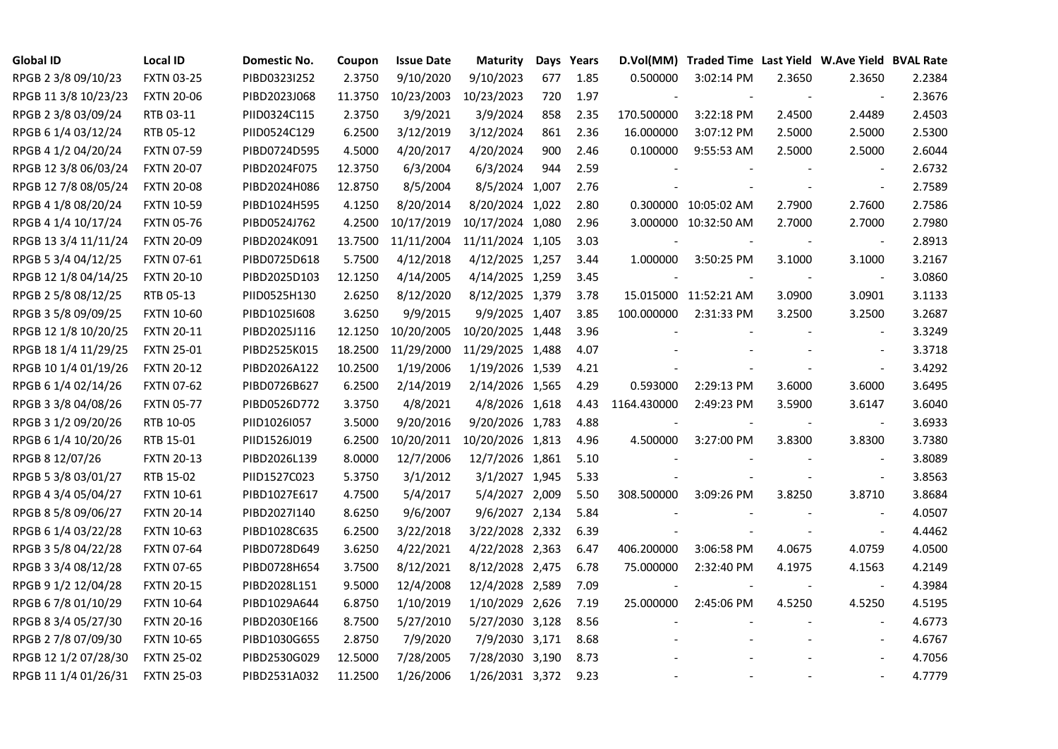| <b>Global ID</b>     | <b>Local ID</b>   | Domestic No. | Coupon  | <b>Issue Date</b> | <b>Maturity</b>  |     | Days Years | D.Vol(MM)   | Traded Time Last Yield W.Ave Yield BVAL Rate |        |                          |        |
|----------------------|-------------------|--------------|---------|-------------------|------------------|-----|------------|-------------|----------------------------------------------|--------|--------------------------|--------|
| RPGB 2 3/8 09/10/23  | <b>FXTN 03-25</b> | PIBD0323I252 | 2.3750  | 9/10/2020         | 9/10/2023        | 677 | 1.85       | 0.500000    | 3:02:14 PM                                   | 2.3650 | 2.3650                   | 2.2384 |
| RPGB 11 3/8 10/23/23 | <b>FXTN 20-06</b> | PIBD2023J068 | 11.3750 | 10/23/2003        | 10/23/2023       | 720 | 1.97       |             |                                              |        |                          | 2.3676 |
| RPGB 2 3/8 03/09/24  | RTB 03-11         | PIID0324C115 | 2.3750  | 3/9/2021          | 3/9/2024         | 858 | 2.35       | 170.500000  | 3:22:18 PM                                   | 2.4500 | 2.4489                   | 2.4503 |
| RPGB 6 1/4 03/12/24  | RTB 05-12         | PIID0524C129 | 6.2500  | 3/12/2019         | 3/12/2024        | 861 | 2.36       | 16.000000   | 3:07:12 PM                                   | 2.5000 | 2.5000                   | 2.5300 |
| RPGB 4 1/2 04/20/24  | <b>FXTN 07-59</b> | PIBD0724D595 | 4.5000  | 4/20/2017         | 4/20/2024        | 900 | 2.46       | 0.100000    | 9:55:53 AM                                   | 2.5000 | 2.5000                   | 2.6044 |
| RPGB 12 3/8 06/03/24 | <b>FXTN 20-07</b> | PIBD2024F075 | 12.3750 | 6/3/2004          | 6/3/2024         | 944 | 2.59       |             |                                              |        | $\overline{\phantom{a}}$ | 2.6732 |
| RPGB 12 7/8 08/05/24 | <b>FXTN 20-08</b> | PIBD2024H086 | 12.8750 | 8/5/2004          | 8/5/2024 1,007   |     | 2.76       |             |                                              |        | $\blacksquare$           | 2.7589 |
| RPGB 4 1/8 08/20/24  | <b>FXTN 10-59</b> | PIBD1024H595 | 4.1250  | 8/20/2014         | 8/20/2024 1,022  |     | 2.80       |             | 0.300000 10:05:02 AM                         | 2.7900 | 2.7600                   | 2.7586 |
| RPGB 4 1/4 10/17/24  | <b>FXTN 05-76</b> | PIBD0524J762 | 4.2500  | 10/17/2019        | 10/17/2024 1,080 |     | 2.96       |             | 3.000000 10:32:50 AM                         | 2.7000 | 2.7000                   | 2.7980 |
| RPGB 13 3/4 11/11/24 | <b>FXTN 20-09</b> | PIBD2024K091 | 13.7500 | 11/11/2004        | 11/11/2024 1,105 |     | 3.03       |             |                                              |        | $\overline{\phantom{a}}$ | 2.8913 |
| RPGB 5 3/4 04/12/25  | <b>FXTN 07-61</b> | PIBD0725D618 | 5.7500  | 4/12/2018         | 4/12/2025 1,257  |     | 3.44       | 1.000000    | 3:50:25 PM                                   | 3.1000 | 3.1000                   | 3.2167 |
| RPGB 12 1/8 04/14/25 | <b>FXTN 20-10</b> | PIBD2025D103 | 12.1250 | 4/14/2005         | 4/14/2025 1,259  |     | 3.45       |             |                                              |        | $\blacksquare$           | 3.0860 |
| RPGB 2 5/8 08/12/25  | RTB 05-13         | PIID0525H130 | 2.6250  | 8/12/2020         | 8/12/2025 1,379  |     | 3.78       |             | 15.015000 11:52:21 AM                        | 3.0900 | 3.0901                   | 3.1133 |
| RPGB 3 5/8 09/09/25  | <b>FXTN 10-60</b> | PIBD10251608 | 3.6250  | 9/9/2015          | 9/9/2025 1,407   |     | 3.85       | 100.000000  | 2:31:33 PM                                   | 3.2500 | 3.2500                   | 3.2687 |
| RPGB 12 1/8 10/20/25 | <b>FXTN 20-11</b> | PIBD2025J116 | 12.1250 | 10/20/2005        | 10/20/2025 1,448 |     | 3.96       |             |                                              |        | $\sim$                   | 3.3249 |
| RPGB 18 1/4 11/29/25 | <b>FXTN 25-01</b> | PIBD2525K015 | 18.2500 | 11/29/2000        | 11/29/2025 1,488 |     | 4.07       |             |                                              |        | $\overline{a}$           | 3.3718 |
| RPGB 10 1/4 01/19/26 | <b>FXTN 20-12</b> | PIBD2026A122 | 10.2500 | 1/19/2006         | 1/19/2026 1,539  |     | 4.21       |             |                                              |        | $\overline{\phantom{a}}$ | 3.4292 |
| RPGB 6 1/4 02/14/26  | <b>FXTN 07-62</b> | PIBD0726B627 | 6.2500  | 2/14/2019         | 2/14/2026 1,565  |     | 4.29       | 0.593000    | 2:29:13 PM                                   | 3.6000 | 3.6000                   | 3.6495 |
| RPGB 3 3/8 04/08/26  | <b>FXTN 05-77</b> | PIBD0526D772 | 3.3750  | 4/8/2021          | 4/8/2026 1,618   |     | 4.43       | 1164.430000 | 2:49:23 PM                                   | 3.5900 | 3.6147                   | 3.6040 |
| RPGB 3 1/2 09/20/26  | RTB 10-05         | PIID1026I057 | 3.5000  | 9/20/2016         | 9/20/2026 1,783  |     | 4.88       |             |                                              |        | $\blacksquare$           | 3.6933 |
| RPGB 6 1/4 10/20/26  | RTB 15-01         | PIID1526J019 | 6.2500  | 10/20/2011        | 10/20/2026 1,813 |     | 4.96       | 4.500000    | 3:27:00 PM                                   | 3.8300 | 3.8300                   | 3.7380 |
| RPGB 8 12/07/26      | <b>FXTN 20-13</b> | PIBD2026L139 | 8.0000  | 12/7/2006         | 12/7/2026 1,861  |     | 5.10       |             |                                              |        | $\sim$                   | 3.8089 |
| RPGB 5 3/8 03/01/27  | RTB 15-02         | PIID1527C023 | 5.3750  | 3/1/2012          | 3/1/2027 1,945   |     | 5.33       |             |                                              |        | $\overline{\phantom{a}}$ | 3.8563 |
| RPGB 4 3/4 05/04/27  | <b>FXTN 10-61</b> | PIBD1027E617 | 4.7500  | 5/4/2017          | 5/4/2027 2,009   |     | 5.50       | 308.500000  | 3:09:26 PM                                   | 3.8250 | 3.8710                   | 3.8684 |
| RPGB 8 5/8 09/06/27  | <b>FXTN 20-14</b> | PIBD2027I140 | 8.6250  | 9/6/2007          | 9/6/2027 2,134   |     | 5.84       |             |                                              |        | $\blacksquare$           | 4.0507 |
| RPGB 6 1/4 03/22/28  | <b>FXTN 10-63</b> | PIBD1028C635 | 6.2500  | 3/22/2018         | 3/22/2028 2,332  |     | 6.39       |             |                                              |        | $\blacksquare$           | 4.4462 |
| RPGB 3 5/8 04/22/28  | <b>FXTN 07-64</b> | PIBD0728D649 | 3.6250  | 4/22/2021         | 4/22/2028 2,363  |     | 6.47       | 406.200000  | 3:06:58 PM                                   | 4.0675 | 4.0759                   | 4.0500 |
| RPGB 3 3/4 08/12/28  | <b>FXTN 07-65</b> | PIBD0728H654 | 3.7500  | 8/12/2021         | 8/12/2028 2,475  |     | 6.78       | 75.000000   | 2:32:40 PM                                   | 4.1975 | 4.1563                   | 4.2149 |
| RPGB 9 1/2 12/04/28  | <b>FXTN 20-15</b> | PIBD2028L151 | 9.5000  | 12/4/2008         | 12/4/2028 2,589  |     | 7.09       |             |                                              |        | $\sim$                   | 4.3984 |
| RPGB 67/8 01/10/29   | <b>FXTN 10-64</b> | PIBD1029A644 | 6.8750  | 1/10/2019         | 1/10/2029 2,626  |     | 7.19       | 25.000000   | 2:45:06 PM                                   | 4.5250 | 4.5250                   | 4.5195 |
| RPGB 8 3/4 05/27/30  | <b>FXTN 20-16</b> | PIBD2030E166 | 8.7500  | 5/27/2010         | 5/27/2030 3,128  |     | 8.56       |             |                                              |        | $\sim$                   | 4.6773 |
| RPGB 2 7/8 07/09/30  | <b>FXTN 10-65</b> | PIBD1030G655 | 2.8750  | 7/9/2020          | 7/9/2030 3,171   |     | 8.68       |             |                                              |        | $\overline{\phantom{a}}$ | 4.6767 |
| RPGB 12 1/2 07/28/30 | <b>FXTN 25-02</b> | PIBD2530G029 | 12.5000 | 7/28/2005         | 7/28/2030 3,190  |     | 8.73       |             |                                              |        |                          | 4.7056 |
| RPGB 11 1/4 01/26/31 | <b>FXTN 25-03</b> | PIBD2531A032 | 11.2500 | 1/26/2006         | 1/26/2031 3,372  |     | 9.23       |             |                                              |        | $\blacksquare$           | 4.7779 |